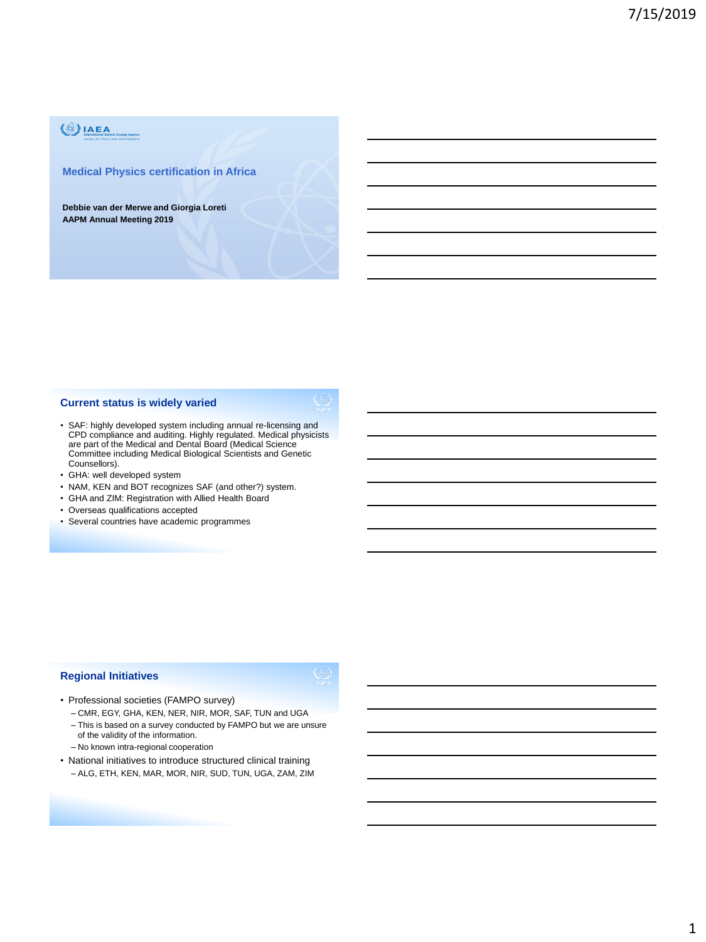# $\langle \frac{1}{2} \rangle$ IAEA

#### **Medical Physics certification in Africa**

**Debbie van der Merwe and Giorgia Loreti AAPM Annual Meeting 2019**

## **Current status is widely varied**

- SAF: highly developed system including annual re-licensing and CPD compliance and auditing. Highly regulated. Medical physicists are part of the Medical and Dental Board (Medical Science Committee including Medical Biological Scientists and Genetic Counsellors).
- GHA: well developed system
- NAM, KEN and BOT recognizes SAF (and other?) system.
- GHA and ZIM: Registration with Allied Health Board
- Overseas qualifications accepted
- Several countries have academic programmes

### **Regional Initiatives**

- Professional societies (FAMPO survey)
	- CMR, EGY, GHA, KEN, NER, NIR, MOR, SAF, TUN and UGA
	- This is based on a survey conducted by FAMPO but we are unsure of the validity of the information.
	- No known intra-regional cooperation
- National initiatives to introduce structured clinical training – ALG, ETH, KEN, MAR, MOR, NIR, SUD, TUN, UGA, ZAM, ZIM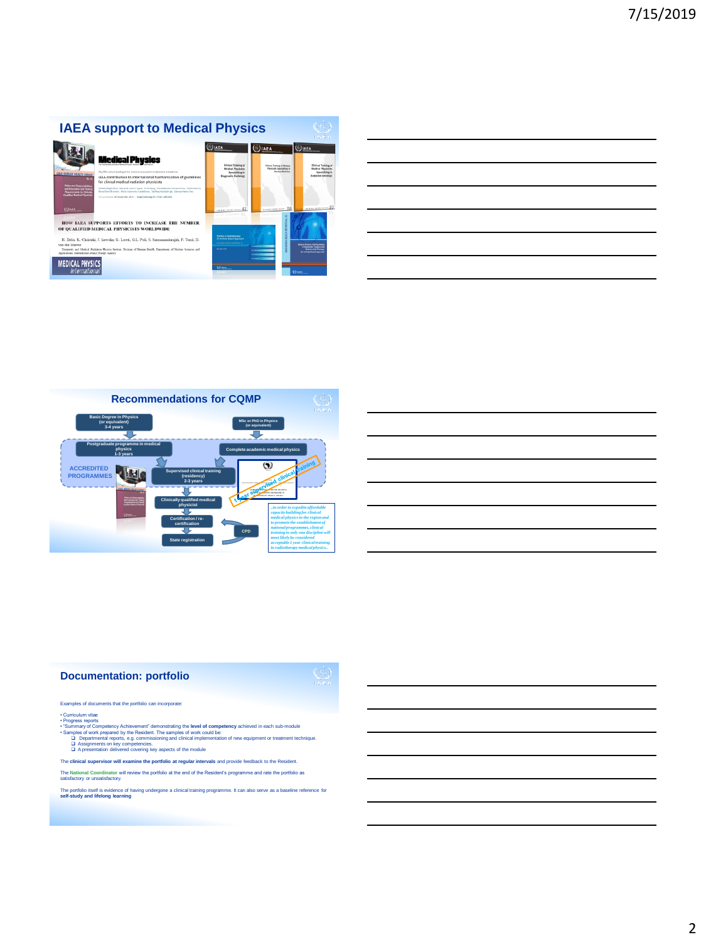# **IAEA support to Medical Physics**







The **clinical supervisor will examine the portfolio at regular intervals** and provide feedback to the Resident. The **National Coordinator** will review the portfolio at the end of the Resident's programme and rate the portfolio as satisfactory or unsatisfactory.

The portfolio itself is evidence of having undergone a clinical training programme. It can also serve as a baseline reference for **self-study and lifelong learning**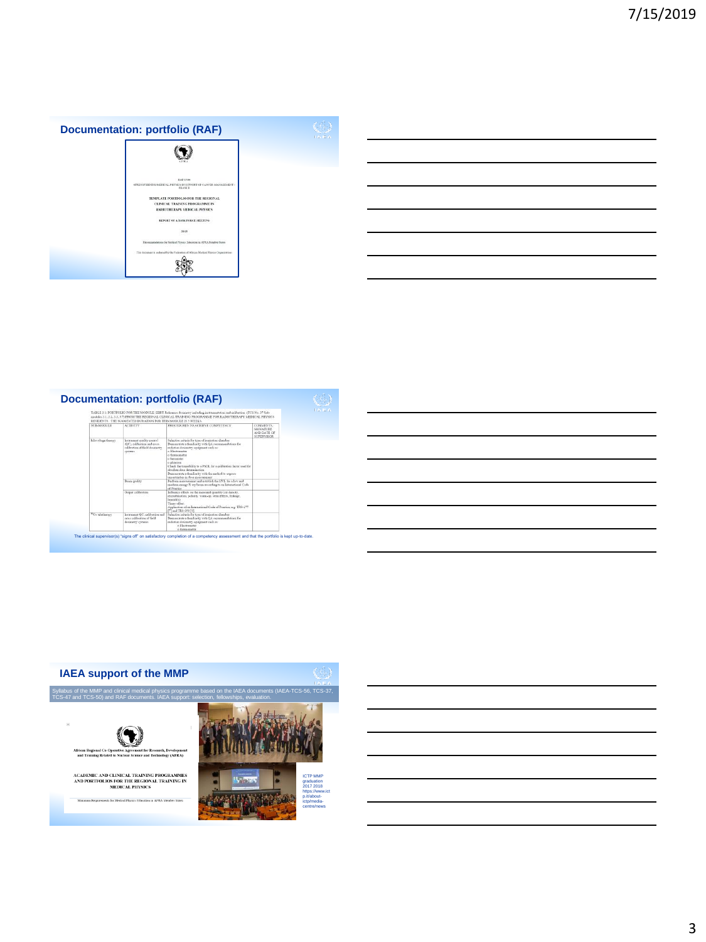

|                              | RESIDENTS. THE SUGGESTED DURATION FOR THIS MODULE IS 5 WEEKS.                                            | TABLE 3.1: PORTFOLIO FOR THE MODULE: EBRT Reference dossnetry including instrumentation and calibration (TCS No. 37 Sub-<br>modules 3.1, 3.2, 3.3, 3.7) FROM THE REGIONAL CLINICAL TRAINING PROGRAMME FOR RADIOTHERAPY MEDICAL PHYSICS                                                                                                                                                                                 |                                                                   |  |
|------------------------------|----------------------------------------------------------------------------------------------------------|------------------------------------------------------------------------------------------------------------------------------------------------------------------------------------------------------------------------------------------------------------------------------------------------------------------------------------------------------------------------------------------------------------------------|-------------------------------------------------------------------|--|
| STILMODER E                  | <b>ACTIVITY</b>                                                                                          | PROCTINIERS TO ACHIEVE COMPETENCY                                                                                                                                                                                                                                                                                                                                                                                      | <b>COMMENTS</b><br>AKOLATURE.<br>AND DATE OF<br><b>SUPERVISOR</b> |  |
| kilovoltage therapy          | Instrument quality control<br>(QC), colibertion and ceoss.<br>calibration of field dovinator<br>vystems. | Selection criteria for type of jouization claunber<br>Deprostrate a familiarity with OA recommendations for<br>radiation dosinatry equipment such as:<br>a Flashmour<br>o thempereter<br>o herogaster<br>o phontom<br>Check the tracephility to a PSDI, for a calibration factor tood for<br>absolves dosa determination.<br>Demonstrate a familiarity with the method to exceess<br>uncertainties in dose measurement |                                                                   |  |
|                              | Bean quality                                                                                             | Perform measurement and establish the HVL for a low and<br>medium energy X ray beam according to an International Code.<br>of Pearlise                                                                                                                                                                                                                                                                                 |                                                                   |  |
|                              | Output calibration                                                                                       | Influence effects on the measured quartity (air density,<br>recombination, polarity, warm-on, stern effects, lesksue,<br>humidity<br>Timer affect<br>Application of an International Code of Practice, e.g. TRS-277<br>[7] and TRS-398 [8].                                                                                                                                                                            |                                                                   |  |
| <sup>85</sup> Co teletherapy | Instrument OC, calibration and<br>cross calibration of field.<br>dosimients systems                      | Selection criteria for type of assuration chamber<br>Demonstrate a familiarity with OA recommendations for<br>radiation desimatry amicroast ush av-<br>o Electrometer<br>a themasporter.                                                                                                                                                                                                                               |                                                                   |  |



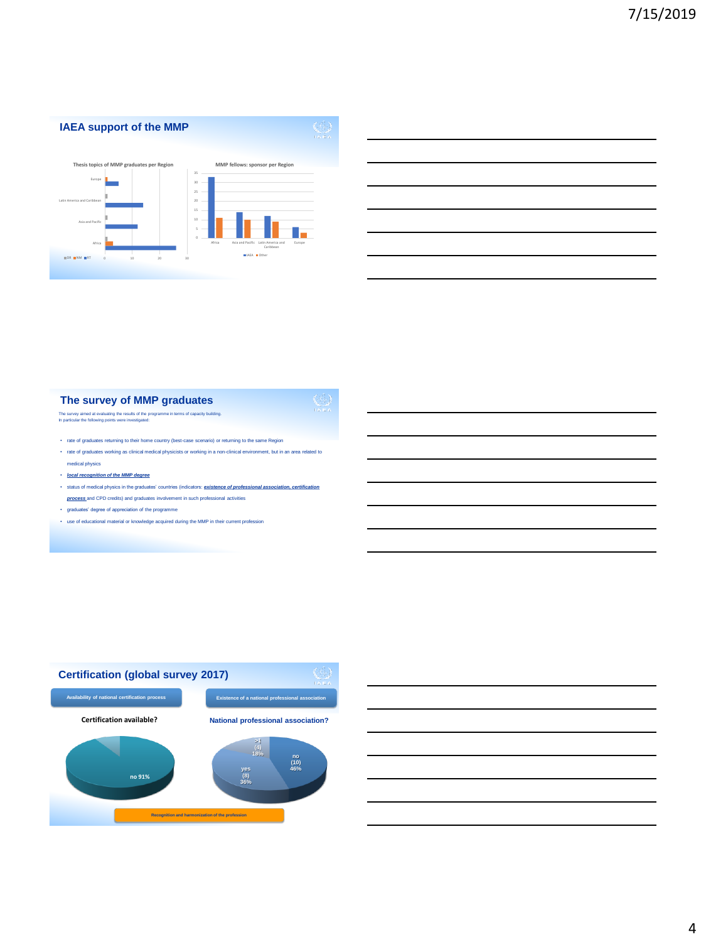

# **The survey of MMP graduates** The survey aimed at evaluating the results of the programme in terms of capacity building. In particular the following points were investigated:

- rate of graduates returning to their home country (best-case scenario) or returning to the same Region
- rate of graduates working as clinical medical physicists or working in a non-clinical environment, but in an area related to medical physics
- *local recognition of the MMP degree*
- status of medical physics in the graduates' countries (indicators: *existence of professional association, certification process* and CPD credits) and graduates involvement in such professional activities
- graduates' degree of appreciation of the programme
- use of educational material or knowledge acquired during the MMP in their current profession



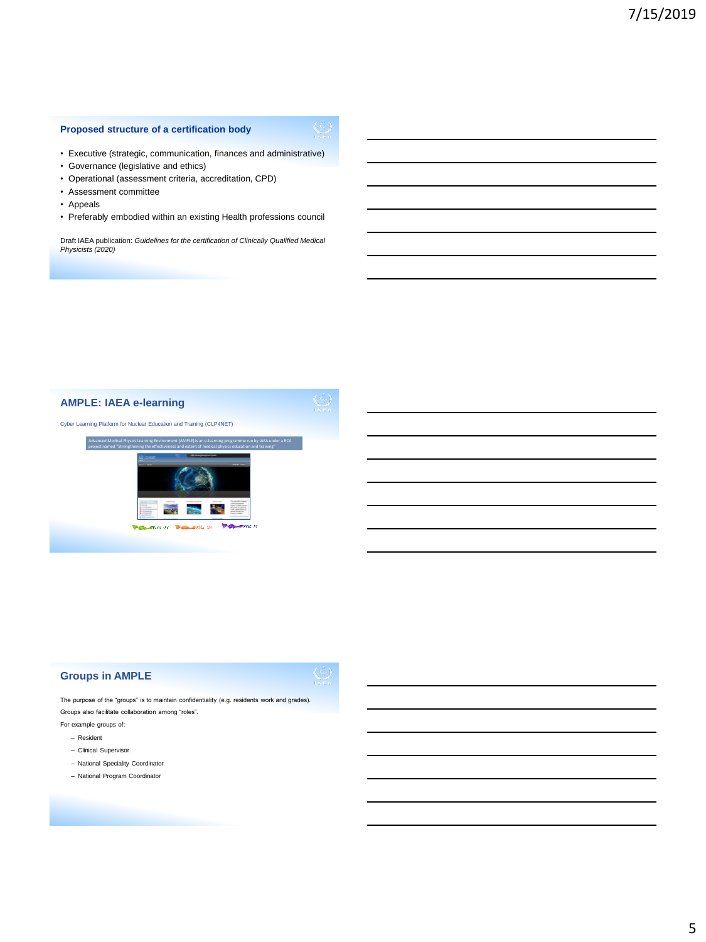## **Proposed structure of a certification body**



• Executive (strategic, communication, finances and administrative) • Governance (legislative and ethics)

- Operational (assessment criteria, accreditation, CPD)
- Assessment committee
- Appeals
- Preferably embodied within an existing Health professions council

Draft IAEA publication: *Guidelines for the certification of Clinically Qualified Medical Physicists (2020)*



## **Groups in AMPLE**



The purpose of the "groups" is to maintain confidentiality (e.g. residents work and grades). Groups also facilitate collaboration among "roles".

- For example groups of:
	- Resident
	- Clinical Supervisor
	- National Speciality Coordinator
	- National Program Coordinator